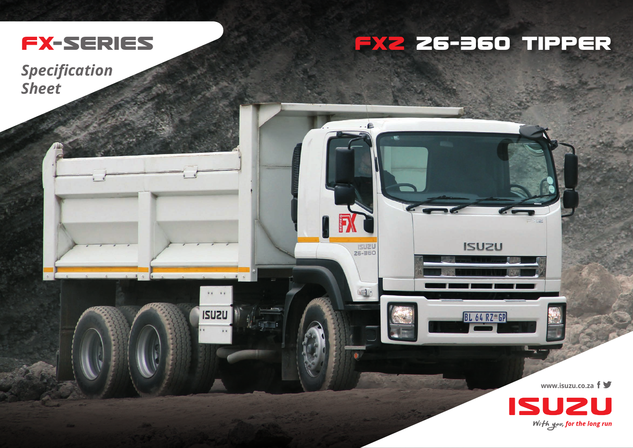

## FX2 26-360 TIPPER

**ISUZU** 

BL 64 RZ\*GP

 $\ldots$ e

USU2U

 $\blacksquare$ 

iv ve

**ISUZU** 

**Specification Sheet** 

www.isuzu.co.za f